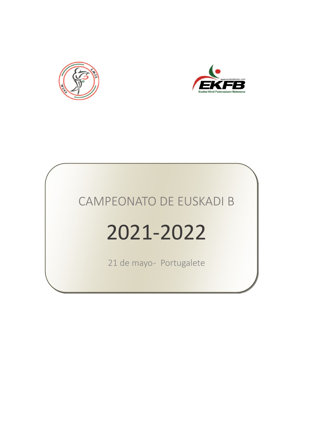



# 2021-2022

21 de mayo- Portugalete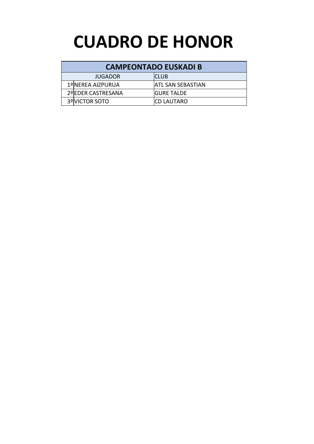## **CUADRO DE HONOR**

| JUGADOR            | <b>ICLUB</b>             |
|--------------------|--------------------------|
| 1ºINEREA AIZPURUA  | <b>ATL SAN SEBASTIAN</b> |
| 2ºIEDER CASTRESANA | <b>IGURE TALDE</b>       |
| 3ºIVICTOR SOTO     | <b>ICD LAUTARO</b>       |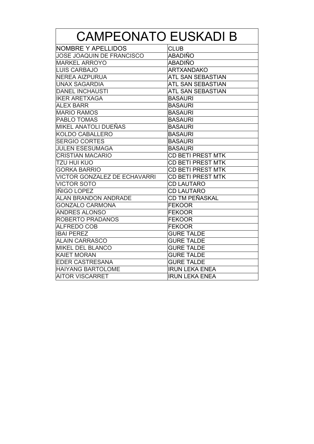| <b>CAMPEONATO EUSKADI B</b>         |                          |  |  |  |  |
|-------------------------------------|--------------------------|--|--|--|--|
| <b>NOMBRE Y APELLIDOS</b>           | <b>CLUB</b>              |  |  |  |  |
| <b>JOSE JOAQUIN DE FRANCISCO</b>    | ABADIÑO                  |  |  |  |  |
| <b>MARKEL ARROYO</b>                | ABADIÑO                  |  |  |  |  |
| <b>LUIS CARBAJO</b>                 | <b>ARTXANDAKO</b>        |  |  |  |  |
| <b>NEREA AIZPURUA</b>               | <b>ATL SAN SEBASTIAN</b> |  |  |  |  |
| <b>UNAX SAGARDIA</b>                | <b>ATL SAN SEBASTIAN</b> |  |  |  |  |
| <b>DANEL INCHAUSTI</b>              | ATL SAN SEBASTIAN        |  |  |  |  |
| <b>IKER ARETXAGA</b>                | <b>BASAURI</b>           |  |  |  |  |
| <b>ALEX BARR</b>                    | <b>BASAURI</b>           |  |  |  |  |
| <b>MARIO RAMOS</b>                  | <b>BASAURI</b>           |  |  |  |  |
| <b>PABLO TOMAS</b>                  | <b>BASAURI</b>           |  |  |  |  |
| MIKEL ANATOLI DUEÑAS                | <b>BASAURI</b>           |  |  |  |  |
| KOLDO CABALLERO                     | <b>BASAURI</b>           |  |  |  |  |
| <b>SERGIO CORTES</b>                | <b>BASAURI</b>           |  |  |  |  |
| <b>JULEN ESESUMAGA</b>              | <b>BASAURI</b>           |  |  |  |  |
| <b>CRISTIAN MACARIO</b>             | <b>CD BETI PREST MTK</b> |  |  |  |  |
| <b>TZU HUI KUO</b>                  | <b>CD BETI PREST MTK</b> |  |  |  |  |
| <b>GORKA BARRIO</b>                 | <b>CD BETI PREST MTK</b> |  |  |  |  |
| <b>VICTOR GONZALEZ DE ECHAVARRI</b> | <b>CD BETI PREST MTK</b> |  |  |  |  |
| <b>VICTOR SOTO</b>                  | <b>CD LAUTARO</b>        |  |  |  |  |
| IÑIGO LOPEZ                         | <b>CD LAUTARO</b>        |  |  |  |  |
| <b>ALAN BRANDON ANDRADE</b>         | CD TM PEÑASKAL           |  |  |  |  |
| <b>GONZALO CARMONA</b>              | <b>FEKOOR</b>            |  |  |  |  |
| <b>ANDRES ALONSO</b>                | <b>FEKOOR</b>            |  |  |  |  |
| ROBERTO PRADANOS                    | <b>FEKOOR</b>            |  |  |  |  |
| <b>ALFREDO COB</b>                  | <b>FEKOOR</b>            |  |  |  |  |
| <b>IBAI PEREZ</b>                   | <b>GURE TALDE</b>        |  |  |  |  |
| <b>ALAIN CARRASCO</b>               | <b>GURE TALDE</b>        |  |  |  |  |
| <b>MIKEL DEL BLANCO</b>             | <b>GURE TALDE</b>        |  |  |  |  |
| <b>KAIET MORAN</b>                  | <b>GURE TALDE</b>        |  |  |  |  |
| <b>EDER CASTRESANA</b>              | <b>GURE TALDE</b>        |  |  |  |  |
| <b>HAIYANG BARTOLOME</b>            | <b>IRUN LEKA ENEA</b>    |  |  |  |  |
| <b>AITOR VISCARRET</b>              | <b>IRUN LEKA ENEA</b>    |  |  |  |  |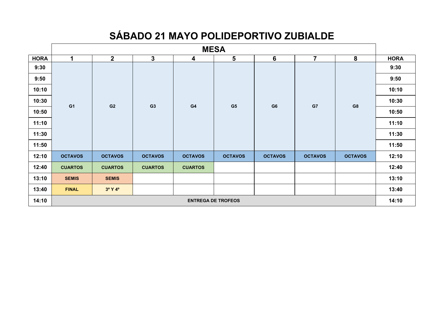### **SÁBADO 21 MAYO POLIDEPORTIVO ZUBIALDE**

|             | <b>MESA</b>               |                |                |                |                |                 |                |                |             |
|-------------|---------------------------|----------------|----------------|----------------|----------------|-----------------|----------------|----------------|-------------|
| <b>HORA</b> | 1                         | $\mathbf{2}$   | $\mathbf{3}$   | 4              | $5\phantom{1}$ | $6\phantom{1}6$ | $\overline{7}$ | 8              | <b>HORA</b> |
| 9:30        |                           |                |                |                |                |                 |                |                | 9:30        |
| 9:50        |                           |                |                |                |                |                 |                |                | 9:50        |
| 10:10       |                           |                |                |                |                |                 |                |                | 10:10       |
| 10:30       | G <sub>1</sub>            | G <sub>2</sub> | G <sub>3</sub> | G4             | G <sub>5</sub> | G <sub>6</sub>  | G7             | G8             | 10:30       |
| 10:50       |                           |                |                |                |                |                 |                |                | 10:50       |
| 11:10       |                           |                |                |                |                |                 |                |                | 11:10       |
| 11:30       |                           |                |                |                |                |                 |                |                | 11:30       |
| 11:50       |                           |                |                |                |                |                 |                |                | 11:50       |
| 12:10       | <b>OCTAVOS</b>            | <b>OCTAVOS</b> | <b>OCTAVOS</b> | <b>OCTAVOS</b> | <b>OCTAVOS</b> | <b>OCTAVOS</b>  | <b>OCTAVOS</b> | <b>OCTAVOS</b> | 12:10       |
| 12:40       | <b>CUARTOS</b>            | <b>CUARTOS</b> | <b>CUARTOS</b> | <b>CUARTOS</b> |                |                 |                |                | 12:40       |
| 13:10       | <b>SEMIS</b>              | <b>SEMIS</b>   |                |                |                |                 |                |                | 13:10       |
| 13:40       | <b>FINAL</b>              | 3º Y 4º        |                |                |                |                 |                |                | 13:40       |
| 14:10       | <b>ENTREGA DE TROFEOS</b> |                |                |                |                |                 |                | 14:10          |             |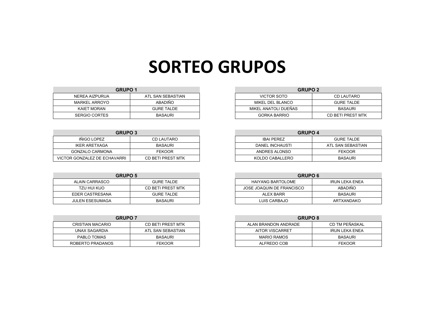## **SORTEO GRUPOS**

| <b>GRUPO 1</b>       |                   | <b>GRUPO 2</b>       |                   |
|----------------------|-------------------|----------------------|-------------------|
| NEREA AIZPURUA       | ATL SAN SEBASTIAN | VICTOR SOTO          | <b>CD LAUTARC</b> |
| MARKEL ARROYO        | <b>ABADIÑO</b>    | MIKEL DEL BLANCO     | <b>GURE TALDE</b> |
| <b>KAIET MORAN</b>   | <b>GURE TALDE</b> | MIKEL ANATOLI DUEÑAS | <b>BASAURI</b>    |
| <b>SERGIO CORTES</b> | <b>BASAURI</b>    | <b>GORKA BARRIO</b>  | CD BETI PREST I   |

| <b>GRUPO 3</b>               |                   | <b>GRUPO 4</b>    |                  |
|------------------------------|-------------------|-------------------|------------------|
| IÑIGO LOPEZ                  | <b>CD LAUTARO</b> | <b>IBAI PEREZ</b> | <b>GURE TALI</b> |
| <b>IKER ARETXAGA</b>         | <b>BASAURI</b>    | DANEL INCHAUSTI   | ATL SAN SEBA     |
| <b>GONZALO CARMONA</b>       | <b>FEKOOR</b>     | ANDRES ALONSO     | <b>FEKOOR</b>    |
| VICTOR GONZALEZ DE ECHAVARRI | CD BETI PREST MTK | KOLDO CABALLERO   | <b>BASAUR</b>    |

| <b>GRUPO 5</b>  |                   | <b>GRUPO 6</b>            |                |
|-----------------|-------------------|---------------------------|----------------|
| ALAIN CARRASCO  | <b>GURE TALDE</b> | <b>HAIYANG BARTOLOME</b>  | IRUN LEKA ENE  |
| TZU HUI KUO     | CD BETI PREST MTK | JOSE JOAQUIN DE FRANCISCO | <b>ABADIÑO</b> |
| EDER CASTRESANA | <b>GURE TALDE</b> | ALEX BARR                 | <b>BASAURI</b> |
| JULEN ESESUMAGA | <b>BASAURI</b>    | LUIS CARBAJO              | ARTXANDAKO     |

| <b>GRUPO 7</b>   |                   | <b>GRUPO 8</b>         |                    |
|------------------|-------------------|------------------------|--------------------|
| CRISTIAN MACARIO | CD BETI PREST MTK | ALAN BRANDON ANDRADE   | CD TM PEÑAS        |
| UNAX SAGARDIA    | ATL SAN SEBASTIAN | <b>AITOR VISCARRET</b> | <b>IRUN LEKA E</b> |
| PABLO TOMAS      | <b>BASAURI</b>    | <b>MARIO RAMOS</b>     | BASAURI            |
| ROBERTO PRADANOS | FEKOOR            | ALFREDO COB            | <b>FEKOOR</b>      |

| <b>GRUPO 1</b>       |                   | <b>GRUPO 2</b>       |                   |
|----------------------|-------------------|----------------------|-------------------|
| NEREA AIZPURUA       | ATL SAN SEBASTIAN | VICTOR SOTO          | CD LAUTARO        |
| MARKEL ARROYO        | ABADIÑO           | MIKEL DEL BLANCO     | <b>GURE TALDE</b> |
| KAIET MORAN          | <b>GURE TALDE</b> | MIKEL ANATOLI DUEÑAS | <b>BASAURI</b>    |
| <b>SERGIO CORTES</b> | <b>BASAURI</b>    | <b>GORKA BARRIO</b>  | CD BETI PREST MTK |

| <b>GRUPO 3</b>       |                   | <b>GRUPO 4</b>    |                   |
|----------------------|-------------------|-------------------|-------------------|
| IÑIGO LOPEZ          | CD LAUTARO        | <b>IBAI PEREZ</b> | <b>GURE TALDE</b> |
| IKER ARETXAGA        | <b>BASAURI</b>    | DANEL INCHAUSTI   | ATL SAN SEBASTIAN |
| DNZALO CARMONA       | <b>FEKOOR</b>     | ANDRES ALONSO     | <b>FEKOOR</b>     |
| ONZALEZ DE ECHAVARRI | CD BETI PREST MTK | KOLDO CABALLERO   | <b>BASAURI</b>    |

| <b>GRUPO 5</b>  |                   | <b>GRUPO 6</b>            |                       |
|-----------------|-------------------|---------------------------|-----------------------|
| ALAIN CARRASCO  | <b>GURE TALDE</b> | HAIYANG BARTOLOME         | <b>IRUN LEKA ENEA</b> |
| TZU HUI KUO     | CD BETI PREST MTK | JOSE JOAQUIN DE FRANCISCO | ABADIÑO               |
| DER CASTRESANA: | <b>GURE TALDE</b> | ALEX BARR                 | <b>BASAURI</b>        |
| ULEN ESESUMAGA  | <b>BASAURI</b>    | LUIS CARBAJO              | ARTXANDAKO            |

| <b>GRUPO 7</b>   |                   | <b>GRUPO 8</b>       |                |
|------------------|-------------------|----------------------|----------------|
| CRISTIAN MACARIO | CD BETI PREST MTK | ALAN BRANDON ANDRADE | CD TM PEÑASKAL |
| UNAX SAGARDIA    | ATL SAN SEBASTIAN | AITOR VISCARRET      | IRUN LEKA ENEA |
| PABLO TOMAS      | <b>BASAURI</b>    | MARIO RAMOS          | <b>BASAURI</b> |
| OBERTO PRADANOS. | FEKOOR            | ALFREDO COB          | <b>FEKOOR</b>  |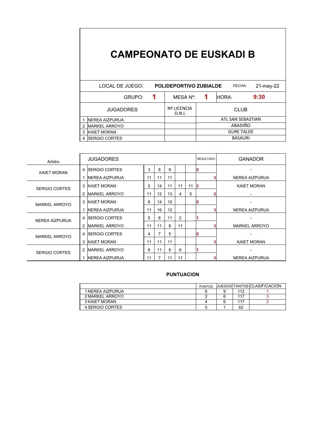|   | LOCAL DE JUEGO:        | <b>POLIDEPORTIVO ZUBIALDE</b> | 21-may-22         |       |      |  |  |  |
|---|------------------------|-------------------------------|-------------------|-------|------|--|--|--|
|   | GRUPO:                 | MESA N°:                      |                   | HORA: | 9:30 |  |  |  |
|   | <b>JUGADORES</b>       | Nº LICENCIA<br>D.N.I.         | <b>CLUB</b>       |       |      |  |  |  |
|   | <b>INEREA AIZPURUA</b> |                               | ATL SAN SEBASTIAN |       |      |  |  |  |
| 2 | <b>MARKEL ARROYO</b>   |                               | ABADIÑO           |       |      |  |  |  |
| 3 | <b>KAIET MORAN</b>     |                               | <b>GURE TALDE</b> |       |      |  |  |  |
| 4 | <b>ISERGIO CORTES</b>  |                               | <b>BASAURI</b>    |       |      |  |  |  |

| Arbitro              |                | <b>JUGADORES</b>       |    | <b>RESULTADO</b> | <b>GANADOR</b> |                |    |    |                       |
|----------------------|----------------|------------------------|----|------------------|----------------|----------------|----|----|-----------------------|
| <b>KAIET MORAN</b>   |                | 4 <b>SERGIO CORTES</b> | 3  | 8                | 9              |                |    |    |                       |
|                      |                | <b>INEREA AIZPURUA</b> | 11 | 11               | 11             |                |    |    | NEREA AIZPURUA        |
| <b>SERGIO CORTES</b> |                | 3 KAIET MORAN          | 5  | 14               | 11             | 11             | 11 | 13 | <b>KAIET MORAN</b>    |
|                      | 2              | <b>IMARKEL ARROYO</b>  | 11 | 12               | 13             | 4              | 5  |    |                       |
| <b>MARKEL ARROYO</b> | 3              | <b>IKAIET MORAN</b>    | 8  | 14               | 10             |                |    |    |                       |
|                      |                | <b>INEREA AIZPURUA</b> | 11 | 16               | 12             |                |    |    | NEREA AIZPURUA        |
| NEREA AIZPURUA       |                | 4 <b>SERGIO CORTES</b> | 5  | 8                | 11             | $\overline{2}$ |    |    |                       |
|                      | 2              | <b>IMARKEL ARROYO</b>  | 11 | 11               | 8              | 11             |    |    | <b>MARKEL ARROYO</b>  |
| <b>MARKEL ARROYO</b> |                | 4 <b>SERGIO CORTES</b> | 4  | 7                | 5              |                |    |    |                       |
|                      | 3              | <b>KAIET MORAN</b>     | 11 | 11               | 11             |                |    |    | <b>KAIET MORAN</b>    |
| <b>SERGIO CORTES</b> | $\overline{2}$ | <b>IMARKEL ARROYO</b>  | 8  | 11               | 6              | 6              |    |    |                       |
|                      | 1              | <b>INEREA AIZPURUA</b> | 11 | 7                | 11             | 11             |    |    | <b>NEREA AIZPURUA</b> |

|                  | <b>PUNTOS</b> |     | <b>JUEGOS TANTOS CLASIFICACION</b> |
|------------------|---------------|-----|------------------------------------|
| 1 NEREA AIZPURUA |               | 112 |                                    |
| 2 MARKEL ARROYO  |               | 117 |                                    |
| 3 KAIET MORAN    |               | 117 |                                    |
| 4 SERGIO CORTES  |               | 62  |                                    |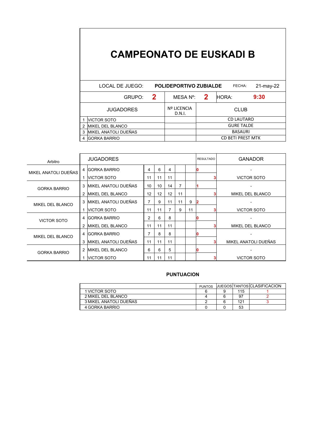|   | LOCAL DE JUEGO:          | <b>POLIDEPORTIVO ZUBIALDE</b><br>FECHA: |                              |                   |                   |       |  |      |  |  |
|---|--------------------------|-----------------------------------------|------------------------------|-------------------|-------------------|-------|--|------|--|--|
|   | 2<br>GRUPO:              |                                         | MESA Nº:                     |                   | 2                 | HORA: |  | 9:30 |  |  |
|   | <b>JUGADORES</b>         |                                         | <b>Nº LICENCIA</b><br>D.N.I. | <b>CLUB</b>       |                   |       |  |      |  |  |
|   | <b>NICTOR SOTO</b>       |                                         |                              |                   | <b>CD LAUTARO</b> |       |  |      |  |  |
| 2 | <b>IMIKEL DEL BLANCO</b> |                                         |                              | <b>GURE TALDE</b> |                   |       |  |      |  |  |
| 3 | MIKEL ANATOLI DUEÑAS     |                                         | <b>BASAURI</b>               |                   |                   |       |  |      |  |  |
| 4 | <b>IGORKA BARRIO</b>     |                                         | <b>CD BETI PREST MTK</b>     |                   |                   |       |  |      |  |  |

| Arbitro                 |   | <b>JUGADORES</b>             |    | <b>RESULTADO</b> | <b>GANADOR</b> |    |    |  |                      |
|-------------------------|---|------------------------------|----|------------------|----------------|----|----|--|----------------------|
| MIKEL ANATOLI DUEÑAS    |   | <b>IGORKA BARRIO</b><br>4    |    | 6                | 4              |    |    |  |                      |
|                         |   | <b>NICTOR SOTO</b>           | 11 | 11               | 11             |    |    |  | VICTOR SOTO          |
| <b>GORKA BARRIO</b>     | 3 | <b>MIKEL ANATOLI DUEÑAS</b>  | 10 | 10               | 14             | 7  |    |  |                      |
|                         | 2 | <b>IMIKEL DEL BLANCO</b>     | 12 | 12               | 12             | 11 |    |  | MIKEL DEL BLANCO     |
| <b>MIKEL DEL BLANCO</b> | 3 | <b>MIKEL ANATOLI DUEÑAS</b>  | 7  | 9                | 11             | 11 | 9  |  |                      |
|                         |   | <b>NICTOR SOTO</b>           | 11 | 11               |                | 9  | 11 |  | <b>VICTOR SOTO</b>   |
| <b>VICTOR SOTO</b>      |   | 4 IGORKA BARRIO              | 2  | 6                | 8              |    |    |  |                      |
|                         | 2 | <b>IMIKEL DEL BLANCO</b>     | 11 | 11               | 11             |    |    |  | MIKEL DEL BLANCO     |
| <b>MIKEL DEL BLANCO</b> |   | 4 IGORKA BARRIO              |    | 8                | 8              |    |    |  |                      |
|                         | 3 | <b>IMIKEL ANATOLI DUEÑAS</b> | 11 | 11               | 11             |    |    |  | MIKEL ANATOLI DUEÑAS |
| <b>GORKA BARRIO</b>     | 2 | <b>IMIKEL DEL BLANCO</b>     | 6  | 6                | 5              |    |    |  |                      |
|                         |   | <b>NICTOR SOTO</b>           | 11 | 11               | 11             |    |    |  | <b>VICTOR SOTO</b>   |

|                        | <b>PUNTOS</b> |     | <b>JUEGOS TANTOS CLASIFICACION</b> |
|------------------------|---------------|-----|------------------------------------|
| 1 VICTOR SOTO          |               | 115 |                                    |
| 2 MIKEL DEL BLANCO     |               | 97  |                                    |
| 3 MIKEL ANATOLI DUEÑAS |               | 121 |                                    |
| 4 GORKA BARRIO         |               | 53  |                                    |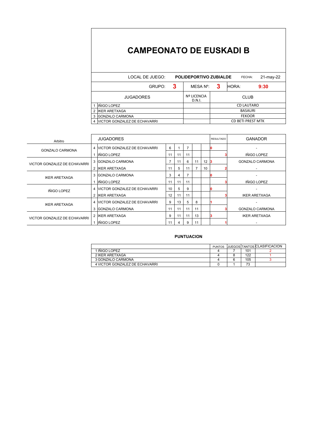|   | LOCAL DE JUEGO:                |   | <b>POLIDEPORTIVO ZUBIALDE</b> |                          | FECHA:            | 21-may-22 |  |  |
|---|--------------------------------|---|-------------------------------|--------------------------|-------------------|-----------|--|--|
|   | GRUPO:                         | 3 | MESA N°:                      | 3                        | IHORA:            | 9:30      |  |  |
|   | <b>JUGADORES</b>               |   | <b>Nº LICENCIA</b><br>D.N.I.  | <b>CLUB</b>              |                   |           |  |  |
|   | IÑIGO LOPEZ                    |   |                               |                          | <b>CD LAUTARO</b> |           |  |  |
| 2 | <b>IKER ARETXAGA</b>           |   |                               | <b>BASAURI</b>           |                   |           |  |  |
| 3 | <b>GONZALO CARMONA</b>         |   |                               | <b>FEKOOR</b>            |                   |           |  |  |
|   | 4 VICTOR GONZALEZ DE ECHAVARRI |   |                               | <b>CD BETI PREST MTK</b> |                   |           |  |  |

| Arbitro                             | <b>JUGADORES</b>                     | <b>RESULTADO</b> | <b>GANADOR</b> |    |    |    |  |                        |
|-------------------------------------|--------------------------------------|------------------|----------------|----|----|----|--|------------------------|
| GONZALO CARMONA                     | 4 VICTOR GONZALEZ DE ECHAVARRI       |                  |                | 7  |    |    |  |                        |
|                                     | IÑIGO LOPEZ                          | 11               | 11             | 11 |    |    |  | <b>IÑIGO LOPEZ</b>     |
| VICTOR GONZALEZ DE ECHAVARRI        | 3 GONZALO CARMONA                    |                  |                | 6  | 11 | 12 |  | <b>GONZALO CARMONA</b> |
|                                     | 2 IKER ARETXAGA                      | 11               | 5              | 11 |    | 10 |  |                        |
| <b>IKER ARETXAGA</b>                | 3 GONZALO CARMONA                    |                  |                | 7  |    |    |  |                        |
|                                     | IÑIGO LOPEZ                          | 11               | 11             | 11 |    |    |  | <b>IÑIGO LOPEZ</b>     |
| IÑIGO LOPEZ                         | 4 VICTOR GONZALEZ DE ECHAVARRI<br>10 |                  | 5.             | 9  |    |    |  |                        |
|                                     | 2 IKER ARETXAGA                      | 12               | 11             | 11 |    |    |  | <b>IKER ARETXAGA</b>   |
| <b>IKER ARETXAGA</b>                | 4 VICTOR GONZALEZ DE ECHAVARRI       | 9                | 13             | 5  | 8  |    |  |                        |
|                                     | 3 GONZALO CARMONA                    | 11               | 11             | 11 | 11 |    |  | <b>GONZALO CARMONA</b> |
| <b>VICTOR GONZALEZ DE ECHAVARRI</b> | 2 IKER ARETXAGA                      |                  |                | 11 | 13 |    |  | <b>IKER ARETXAGA</b>   |
|                                     | INIGO LOPEZ                          | 11               |                | 9  | 11 |    |  |                        |

|                                | <b>PUNTOS</b> |     | <b>IJUEGOS TANTOS ICLASIFICACION</b> |
|--------------------------------|---------------|-----|--------------------------------------|
| 1 IÑIGO LOPEZ                  |               | 101 |                                      |
| 2 IKER ARETXAGA                |               | 122 |                                      |
| 3 GONZALO CARMONA              |               | 105 |                                      |
| 4 VICTOR GONZALEZ DE ECHAVARRI |               | 73  |                                      |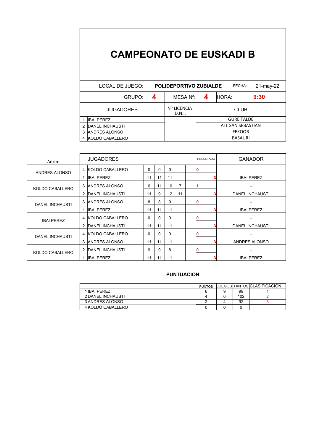|                           | LOCAL DE JUEGO:        |   | <b>POLIDEPORTIVO ZUBIALDE</b> | 21-may-22         |                   |      |  |  |  |
|---------------------------|------------------------|---|-------------------------------|-------------------|-------------------|------|--|--|--|
|                           | GRUPO:                 | 4 | MESA Nº:                      | 4                 | HORA:             | 9:30 |  |  |  |
|                           | <b>JUGADORES</b>       |   | Nº LICENCIA<br>D.N.I.         |                   | <b>CLUB</b>       |      |  |  |  |
|                           | IIBAI PEREZ            |   |                               |                   | <b>GURE TALDE</b> |      |  |  |  |
| 2                         | <b>DANEL INCHAUSTI</b> |   |                               | ATL SAN SEBASTIAN |                   |      |  |  |  |
| <b>ANDRES ALONSO</b><br>3 |                        |   |                               | <b>FEKOOR</b>     |                   |      |  |  |  |
| 4                         | KOLDO CABALLERO        |   |                               | <b>BASAURI</b>    |                   |      |  |  |  |

| Arbitro                |   | <b>JUGADORES</b>       |    |          |          |    | <b>RESULTADO</b> | <b>GANADOR</b>         |
|------------------------|---|------------------------|----|----------|----------|----|------------------|------------------------|
| ANDRES ALONSO          |   | 4 KOLDO CABALLERO      | 0  | $\Omega$ | $\Omega$ |    |                  |                        |
|                        | 1 | <b>IBAI PEREZ</b>      | 11 | 11       | 11       |    |                  | <b>IBAI PEREZ</b>      |
| KOLDO CABALLERO        | 3 | <b>ANDRES ALONSO</b>   | 6  | 11       | 10       | 7  |                  |                        |
|                        | 2 | <b>DANEL INCHAUSTI</b> | 11 | 9        | 12       | 11 |                  | <b>DANEL INCHAUSTI</b> |
| <b>DANEL INCHAUSTI</b> | 3 | <b>ANDRES ALONSO</b>   | 8  | 8        | 9        |    |                  |                        |
|                        |   | <b>IBAI PEREZ</b>      | 11 | 11       | 11       |    |                  | <b>IBAI PEREZ</b>      |
| <b>IBAI PEREZ</b>      |   | 4 KOLDO CABALLERO      | 0  | $\Omega$ | $\Omega$ |    |                  |                        |
|                        | 2 | <b>DANEL INCHAUSTI</b> | 11 | 11       | 11       |    |                  | <b>DANEL INCHAUSTI</b> |
| <b>DANEL INCHAUSTI</b> |   | 4 KOLDO CABALLERO      | 0  | $\Omega$ | $\Omega$ |    |                  |                        |
|                        | 3 | <b>ANDRES ALONSO</b>   | 11 | 11       | 11       |    |                  | ANDRES ALONSO          |
| KOLDO CABALLERO        | 2 | <b>DANEL INCHAUSTI</b> | 9  | 9        | 8        |    |                  |                        |
|                        |   | <b>IBAI PEREZ</b>      | 11 | 11       | 11       |    |                  | <b>IBAI PEREZ</b>      |

|                   | <b>PUNTOS</b> |     | <b>JUEGOS TANTOS CLASIFICACION</b> |
|-------------------|---------------|-----|------------------------------------|
| 1 IBAI PFRFZ      |               | 99  |                                    |
| 2 DANEL INCHAUSTI |               | 102 |                                    |
| 3 ANDRES ALONSO   |               | 92  |                                    |
| 4 KOLDO CABALLERO |               |     |                                    |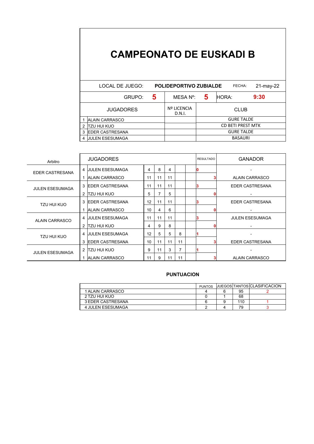|   | LOCAL DE JUEGO:         | <b>POLIDEPORTIVO ZUBIALDE</b> |   | FECHA:                   | 21-may-22 |  |  |  |
|---|-------------------------|-------------------------------|---|--------------------------|-----------|--|--|--|
|   | 5<br>GRUPO:             | MESA N°:                      | 5 | HORA:                    | 9:30      |  |  |  |
|   | <b>JUGADORES</b>        | <b>Nº LICENCIA</b><br>D.N.I.  |   | <b>CLUB</b>              |           |  |  |  |
|   | <b>ALAIN CARRASCO</b>   |                               |   | <b>GURE TALDE</b>        |           |  |  |  |
|   | tzu hui kuo             |                               |   | <b>CD BETI PREST MTK</b> |           |  |  |  |
| 3 | <b>IEDER CASTRESANA</b> |                               |   | <b>GURE TALDE</b>        |           |  |  |  |
| 4 | <b>JULEN ESESUMAGA</b>  |                               |   | <b>BASAURI</b>           |           |  |  |  |

| Arbitro                | <b>JUGADORES</b> |                         |    |    |    |    |  | <b>RESULTADO</b> | <b>GANADOR</b>         |
|------------------------|------------------|-------------------------|----|----|----|----|--|------------------|------------------------|
| EDER CASTRESANA        |                  | 4 JULEN ESESUMAGA       | 4  | 8  | 4  |    |  |                  |                        |
|                        | 1                | <b>IALAIN CARRASCO</b>  | 11 | 11 | 11 |    |  |                  | <b>ALAIN CARRASCO</b>  |
| <b>JULEN ESESUMAGA</b> | 3                | <b>IEDER CASTRESANA</b> | 11 | 11 | 11 |    |  |                  | <b>EDER CASTRESANA</b> |
|                        | 2                | TZU HUI KUO             | 5  | 7  | 5  |    |  |                  |                        |
| TZU HUI KUO            | 3                | <b>IEDER CASTRESANA</b> | 12 | 11 | 11 |    |  |                  | EDER CASTRESANA        |
|                        |                  | <b>ALAIN CARRASCO</b>   | 10 | 4  | 6  |    |  |                  |                        |
| <b>ALAIN CARRASCO</b>  |                  | 4 JULEN ESESUMAGA       | 11 | 11 | 11 |    |  |                  | <b>JULEN ESESUMAGA</b> |
|                        | $\overline{2}$   | TZU HUI KUO             | 4  | 9  | 8  |    |  |                  |                        |
| TZU HUI KUO            | 4                | <b>JULEN ESESUMAGA</b>  | 12 | 5  | 5  | 8  |  |                  |                        |
|                        | 3                | <b>IEDER CASTRESANA</b> | 10 | 11 | 11 | 11 |  |                  | <b>EDER CASTRESANA</b> |
| <b>JULEN ESESUMAGA</b> | $\overline{2}$   | TZU HUI KUO             | 9  | 11 | 3  | 7  |  |                  |                        |
|                        |                  | <b>ALAIN CARRASCO</b>   | 11 | 9  | 11 | 11 |  |                  | <b>ALAIN CARRASCO</b>  |

|                   | <b>PUNTOS</b> |     | <b>JUEGOS TANTOS CLASIFICACION</b> |
|-------------------|---------------|-----|------------------------------------|
| 1 ALAIN CARRASCO  |               | 95  |                                    |
| 2 TZU HUI KUO     |               | 68  |                                    |
| 3 EDER CASTRESANA |               | 110 |                                    |
| 4 JULEN ESESUMAGA |               | 79  |                                    |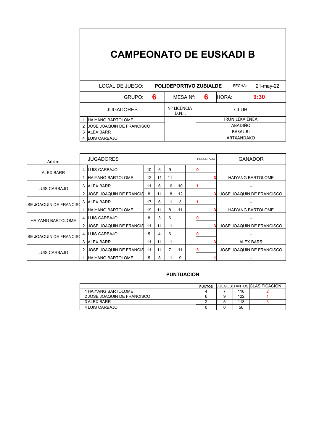|   | LOCAL DE JUEGO:                  | <b>POLIDEPORTIVO ZUBIALDE</b> | FECHA:         | 21-may-22             |      |  |  |
|---|----------------------------------|-------------------------------|----------------|-----------------------|------|--|--|
|   | 6<br>GRUPO:                      | MESA N°:                      | 6              | HORA:                 | 9:30 |  |  |
|   | <b>JUGADORES</b>                 | <b>Nº LICENCIA</b><br>D.N.I.  |                | <b>CLUB</b>           |      |  |  |
|   | <b>HAIYANG BARTOLOME</b>         |                               |                | <b>IRUN LEKA ENEA</b> |      |  |  |
|   | <b>JOSE JOAQUIN DE FRANCISCO</b> |                               | ABADIÑO        |                       |      |  |  |
| 3 | <b>ALEX BARR</b>                 |                               | <b>BASAURI</b> |                       |      |  |  |
|   | LUIS CARBAJO                     |                               | ARTXANDAKO     |                       |      |  |  |

| <b>JUGADORES</b><br>Arbitro    |   |                                |    |    |    | <b>RESULTADO</b> | GANADOR |  |                           |
|--------------------------------|---|--------------------------------|----|----|----|------------------|---------|--|---------------------------|
| <b>ALEX BARR</b>               | 4 | <b>LUIS CARBAJO</b>            | 10 | 5  | 9  |                  |         |  |                           |
|                                |   | <b>HAIYANG BARTOLOME</b>       | 12 | 11 | 11 |                  |         |  | <b>HAIYANG BARTOLOME</b>  |
| LUIS CARBAJO                   |   | 3 ALEX BARR                    | 11 | 6  | 16 | 10               |         |  |                           |
|                                | 2 | <b>JOSE JOAQUIN DE FRANCIS</b> | 8  | 11 | 18 | 12               |         |  | JOSE JOAQUIN DE FRANCISCO |
| <b>ISE JOAQUIN DE FRANCISO</b> |   | 3 ALEX BARR                    | 17 | 6  | 11 | 3                |         |  |                           |
|                                |   | <b>HAIYANG BARTOLOME</b>       | 19 | 11 | 8  | 11               |         |  | <b>HAIYANG BARTOLOME</b>  |
| <b>HAIYANG BARTOLOME</b>       |   | 4 LUIS CARBAJO                 | 8  | 3  | 6  |                  |         |  |                           |
|                                | 2 | <b>JOSE JOAQUIN DE FRANCIS</b> | 11 | 11 | 11 |                  |         |  | JOSE JOAQUIN DE FRANCISCO |
| <b>ISE JOAQUIN DE FRANCISO</b> |   | 4 LUIS CARBAJO                 | 5  | 4  | 6  |                  |         |  |                           |
|                                | 3 | <b>ALEX BARR</b>               | 11 | 11 | 11 |                  |         |  | <b>ALEX BARR</b>          |
| LUIS CARBAJO                   | 2 | <b>JOSE JOAQUIN DE FRANCIS</b> | 11 | 11 |    | 11               |         |  | JOSE JOAQUIN DE FRANCISCO |
|                                |   | <b>HAIYANG BARTOLOME</b>       | 5  | 8  | 11 | 9                |         |  |                           |

|                             | <b>PUNTOS</b> |     | IJUEGOSITANTOSICLASIFICACION |
|-----------------------------|---------------|-----|------------------------------|
| 1 HAIYANG BARTOLOME         |               | 116 |                              |
| 2 JOSE JOAQUIN DE FRANCISCO |               | 122 |                              |
| 3 ALEX BARR                 |               | 113 |                              |
| 4 LUIS CARBAJO              |               | 56  |                              |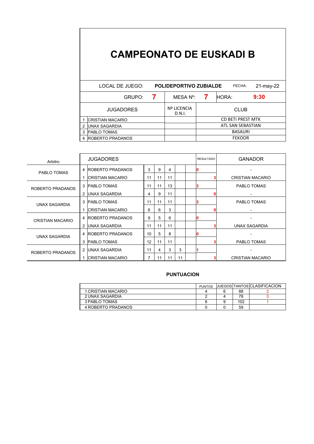|   | LOCAL DE JUEGO:         | <b>POLIDEPORTIVO ZUBIALDE</b> |                   | FECHA:            | 21-may-22 |  |  |  |
|---|-------------------------|-------------------------------|-------------------|-------------------|-----------|--|--|--|
|   | GRUPO:                  | MESA N°:                      |                   | HORA:             | 9:30      |  |  |  |
|   | <b>JUGADORES</b>        | <b>Nº LICENCIA</b><br>D.N.I.  |                   | <b>CLUB</b>       |           |  |  |  |
|   | <b>CRISTIAN MACARIO</b> |                               |                   | CD BETI PREST MTK |           |  |  |  |
| 2 | IUNAX SAGARDIA          |                               | ATL SAN SEBASTIAN |                   |           |  |  |  |
| 3 | <b>PABLO TOMAS</b>      |                               |                   | <b>BASAURI</b>    |           |  |  |  |
|   | <b>ROBERTO PRADANOS</b> |                               |                   | <b>FEKOOR</b>     |           |  |  |  |

| Arbitro                 |   | <b>JUGADORES</b>         |    |    | <b>RESULTADO</b> | <b>GANADOR</b> |   |                          |
|-------------------------|---|--------------------------|----|----|------------------|----------------|---|--------------------------|
| PABLO TOMAS             |   | 4 ROBERTO PRADANOS       | 3  | 9  | 4                |                |   |                          |
|                         |   | ICRISTIAN MACARIO        | 11 | 11 | 11               |                |   | <b>CRISTIAN MACARIO</b>  |
| ROBERTO PRADANOS        | 3 | <b>PABLO TOMAS</b>       | 11 | 11 | 13               |                | 3 | PABLO TOMAS              |
|                         | 2 | <b>IUNAX SAGARDIA</b>    | 4  | 9  | 11               |                |   | $\overline{\phantom{0}}$ |
| UNAX SAGARDIA           | 3 | <b>IPABLO TOMAS</b>      | 11 | 11 | 11               |                | 3 | PABLO TOMAS              |
|                         |   | ICRISTIAN MACARIO        | 6  | 6  | 3                |                |   |                          |
| <b>CRISTIAN MACARIO</b> | 4 | <b>IROBERTO PRADANOS</b> | 9  | 5  | 6                |                |   |                          |
|                         | 2 | IUNAX SAGARDIA           | 11 | 11 | 11               |                |   | UNAX SAGARDIA            |
| UNAX SAGARDIA           | 4 | <b>ROBERTO PRADANOS</b>  | 10 | 5  | 8                |                |   |                          |
|                         | 3 | <b>PABLO TOMAS</b>       | 12 | 11 | 11               |                |   | PABLO TOMAS              |
| ROBERTO PRADANOS        | 2 | UNAX SAGARDIA            | 11 | 4  | 3                | 3              |   |                          |
|                         | 1 | <b>CRISTIAN MACARIO</b>  | 7  | 11 | 11               | 11             |   | <b>CRISTIAN MACARIO</b>  |

|                    | <b>PUNTOS</b> |     | <b>JUEGOS TANTOS CLASIFICACION</b> |
|--------------------|---------------|-----|------------------------------------|
| 1 CRISTIAN MACARIO |               | 88  |                                    |
| 2 UNAX SAGARDIA    |               | 78  |                                    |
| 3 PABLO TOMAS      |               | 102 |                                    |
| 4 ROBERTO PRADANOS |               | 59  |                                    |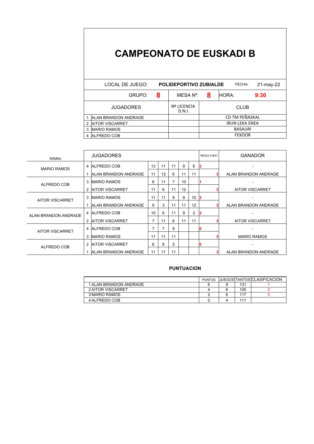|   | LOCAL DE JUEGO:             |   | <b>POLIDEPORTIVO ZUBIALDE</b> |                       | FECHA:         | $21$ -may- $22$ |  |  |
|---|-----------------------------|---|-------------------------------|-----------------------|----------------|-----------------|--|--|
|   | GRUPO:                      | 8 | MESA N°:                      | 8                     | <b>HORA:</b>   | 9:30            |  |  |
|   | <b>JUGADORES</b>            |   | <b>Nº LICENCIA</b><br>D.N.I.  |                       | <b>CLUB</b>    |                 |  |  |
|   | <b>ALAN BRANDON ANDRADE</b> |   |                               |                       | CD TM PEÑASKAL |                 |  |  |
| 2 | <b>AITOR VISCARRET</b>      |   |                               | <b>IRUN LEKA ENEA</b> |                |                 |  |  |
| 3 | <b>IMARIO RAMOS</b>         |   |                               | <b>BASAURI</b>        |                |                 |  |  |
|   | ALFREDO COB                 |   |                               | <b>FEKOOR</b>         |                |                 |  |  |

| Arbitro                |   | <b>JUGADORES</b>             |                | <b>RESULTADO</b> | <b>GANADOR</b> |    |    |   |                        |
|------------------------|---|------------------------------|----------------|------------------|----------------|----|----|---|------------------------|
| <b>MARIO RAMOS</b>     |   | 4 ALFREDO COB                | 13             | 11               | 11             | 9  | 6  | 2 |                        |
|                        |   | <b>IALAN BRANDON ANDRADE</b> | 11             | 13               | 6              | 11 | 11 |   | ALAN BRANDON ANDRADE   |
| ALFREDO COB            |   | 3 IMARIO RAMOS               | 6              | 11               | $\overline{7}$ | 10 |    |   |                        |
|                        |   | <b>AITOR VISCARRET</b>       | 11             | 6                | 11             | 12 |    |   | <b>AITOR VISCARRET</b> |
| AITOR VISCARRET        |   | 3 IMARIO RAMOS               | 11             | 11               | 9              | 9  | 10 |   |                        |
|                        |   | <b>JALAN BRANDON ANDRADE</b> | 9              | 3                | 11             | 11 | 12 |   | ALAN BRANDON ANDRADE   |
| ALAN BRANDON ANDRADE   |   | 4 ALFREDO COB                | 10             | 6                | 11             | 9  | 2  |   |                        |
|                        | 2 | <b>IAITOR VISCARRET</b>      | $\overline{7}$ | 11               | 6              | 11 | 11 |   | <b>AITOR VISCARRET</b> |
| <b>AITOR VISCARRET</b> |   | 4 ALFREDO COB                | 7              |                  | 9              |    |    |   |                        |
|                        | 3 | <b>IMARIO RAMOS</b>          | 11             | 11               | 11             |    |    |   | <b>MARIO RAMOS</b>     |
| ALFREDO COB            | 2 | <b>IAITOR VISCARRET</b>      | 6              | 8                | 5              |    |    |   |                        |
|                        |   | <b>JALAN BRANDON ANDRADE</b> | 11             | 11               | 11             |    |    |   | ALAN BRANDON ANDRADE   |

|                        | <b>PUNTOS</b> |     | <b>IJUEGOSITANTOSICLASIFICACION</b> |  |
|------------------------|---------------|-----|-------------------------------------|--|
| 1 ALAN BRANDON ANDRADE |               | 131 |                                     |  |
| 2 AITOR VISCARRET      |               | 105 |                                     |  |
| 3 MARIO RAMOS          |               | 117 |                                     |  |
| 4 ALFREDO COB          |               | 111 |                                     |  |